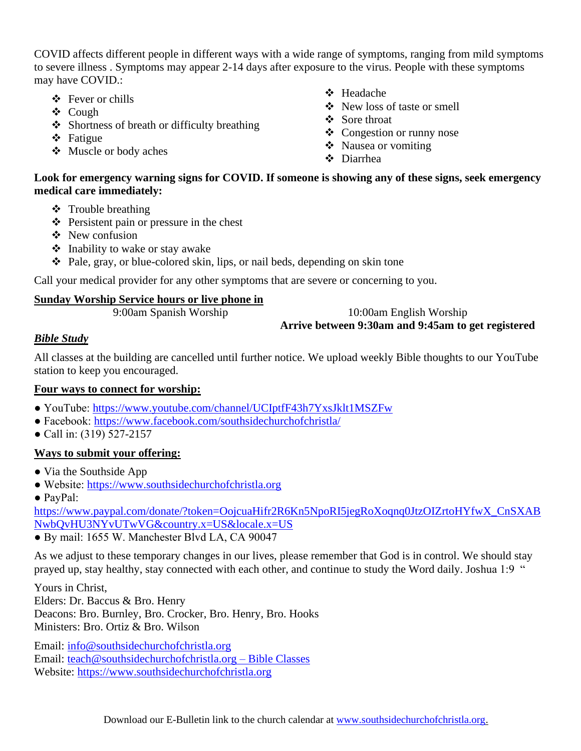COVID affects different people in different ways with a wide range of symptoms, ranging from mild symptoms to severe illness . Symptoms may appear 2-14 days after exposure to the virus. People with these symptoms may have COVID.:

- ❖ Fever or chills
- ❖ Cough
- ❖ Shortness of breath or difficulty breathing
- ❖ Fatigue
- ❖ Muscle or body aches
- ❖ Headache
- ❖ New loss of taste or smell
- ❖ Sore throat
- ❖ Congestion or runny nose
- ❖ Nausea or vomiting
- ❖ Diarrhea

## **Look for emergency warning signs for COVID. If someone is showing any of these signs, seek emergency medical care immediately:**

- ❖ Trouble breathing
- ❖ Persistent pain or pressure in the chest
- ❖ New confusion
- ❖ Inability to wake or stay awake
- ❖ Pale, gray, or blue-colored skin, lips, or nail beds, depending on skin tone

Call your medical provider for any other symptoms that are severe or concerning to you.

## **Sunday Worship Service hours or live phone in**

9:00am Spanish Worship 10:00am English Worship **Arrive between 9:30am and 9:45am to get registered**

## *Bible Study*

All classes at the building are cancelled until further notice. We upload weekly Bible thoughts to our YouTube station to keep you encouraged.

## **Four ways to connect for worship:**

- YouTube:<https://www.youtube.com/channel/UCIptfF43h7YxsJklt1MSZFw>
- Facebook:<https://www.facebook.com/southsidechurchofchristla/>
- Call in: (319) 527-2157

## **Ways to submit your offering:**

- Via the Southside App
- Website: [https://www.southsidechurchofchristla.org](https://www.southsidechurchofchristla.org/)
- PayPal:

[https://www.paypal.com/donate/?token=OojcuaHifr2R6Kn5NpoRI5jegRoXoqnq0JtzOIZrtoHYfwX\\_CnSXAB](https://www.paypal.com/donate/?token=OojcuaHifr2R6Kn5NpoRI5jegRoXoqnq0JtzOIZrtoHYfwX_CnSXABNwbQvHU3NYvUTwVG&country.x=US&locale.x=US) [NwbQvHU3NYvUTwVG&country.x=US&locale.x=US](https://www.paypal.com/donate/?token=OojcuaHifr2R6Kn5NpoRI5jegRoXoqnq0JtzOIZrtoHYfwX_CnSXABNwbQvHU3NYvUTwVG&country.x=US&locale.x=US)

● By mail: 1655 W. Manchester Blvd LA, CA 90047

As we adjust to these temporary changes in our lives, please remember that God is in control. We should stay prayed up, stay healthy, stay connected with each other, and continue to study the Word daily. Joshua 1:9 "

Yours in Christ, Elders: Dr. Baccus & Bro. Henry Deacons: Bro. Burnley, Bro. Crocker, Bro. Henry, Bro. Hooks Ministers: Bro. Ortiz & Bro. Wilson

Email: [info@southsidechurchofchristla.org](mailto:info@southsidechurchofchristla.org) Email: [teach@southsidechurchofchristla.org](mailto:teach@southsidechurchofchristla.org) – Bible Classes Website: [https://www.southsidechurchofchristla.org](https://www.southsidechurchofchristla.org/)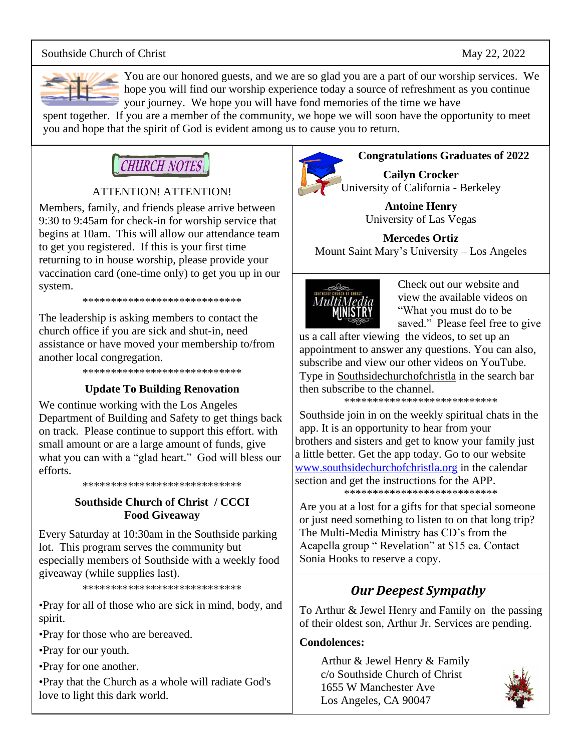## Southside Church of Christ May 22, 2022



You are our honored guests, and we are so glad you are a part of our worship services. We hope you will find our worship experience today a source of refreshment as you continue your journey. We hope you will have fond memories of the time we have

spent together. If you are a member of the community, we hope we will soon have the opportunity to meet you and hope that the spirit of God is evident among us to cause you to return.

# **CHURCH NOTES**

## ATTENTION! ATTENTION!

Members, family, and friends please arrive between 9:30 to 9:45am for check-in for worship service that begins at 10am. This will allow our attendance team to get you registered. If this is your first time returning to in house worship, please provide your vaccination card (one-time only) to get you up in our system.

\*\*\*\*\*\*\*\*\*\*\*\*\*\*\*\*\*\*\*\*\*\*\*\*\*\*\*\*

The leadership is asking members to contact the church office if you are sick and shut-in, need assistance or have moved your membership to/from another local congregation.

\*\*\*\*\*\*\*\*\*\*\*\*\*\*\*\*\*\*\*\*\*\*\*\*\*\*\*\*

## **Update To Building Renovation**

We continue working with the Los Angeles Department of Building and Safety to get things back on track. Please continue to support this effort. with small amount or are a large amount of funds, give what you can with a "glad heart." God will bless our efforts.

\*\*\*\*\*\*\*\*\*\*\*\*\*\*\*\*\*\*\*\*\*\*\*\*\*\*\*\*

## **Southside Church of Christ / CCCI Food Giveaway**

Every Saturday at 10:30am in the Southside parking lot. This program serves the community but especially members of Southside with a weekly food giveaway (while supplies last).

\*\*\*\*\*\*\*\*\*\*\*\*\*\*\*\*\*\*\*\*\*\*\*\*\*\*\*\*

•Pray for all of those who are sick in mind, body, and spirit.

•Pray for those who are bereaved.

•Pray for our youth.

•Pray for one another.

•Pray that the Church as a whole will radiate God's love to light this dark world.



## **Congratulations Graduates of 2022**

**Cailyn Crocker** University of California - Berkeley

> **Antoine Henry** University of Las Vegas

**Mercedes Ortiz** Mount Saint Mary's University – Los Angeles



Check out our website and view the available videos on "What you must do to be saved." Please feel free to give

us a call after viewing the videos, to set up an appointment to answer any questions. You can also, subscribe and view our other videos on YouTube. Type in Southsidechurchofchristla in the search bar then subscribe to the channel.

\*\*\*\*\*\*\*\*\*\*\*\*\*\*\*\*\*\*\*\*\*\*\*\*\*\*\*

Southside join in on the weekly spiritual chats in the app. It is an opportunity to hear from your brothers and sisters and get to know your family just a little better. Get the app today. Go to our website [www.southsidechurchofchristla.org](http://www.southsidechurchofchristla.org/) in the calendar section and get the instructions for the APP. \*\*\*\*\*\*\*\*\*\*\*\*\*\*\*\*\*\*\*\*\*\*\*\*\*\*\*

Are you at a lost for a gifts for that special someone or just need something to listen to on that long trip? The Multi-Media Ministry has CD's from the Acapella group " Revelation" at \$15 ea. Contact Sonia Hooks to reserve a copy.

## *Our Deepest Sympathy*

To Arthur & Jewel Henry and Family on the passing of their oldest son, Arthur Jr. Services are pending.

## **Condolences:**

Arthur & Jewel Henry & Family c/o Southside Church of Christ 1655 W Manchester Ave Los Angeles, CA 90047